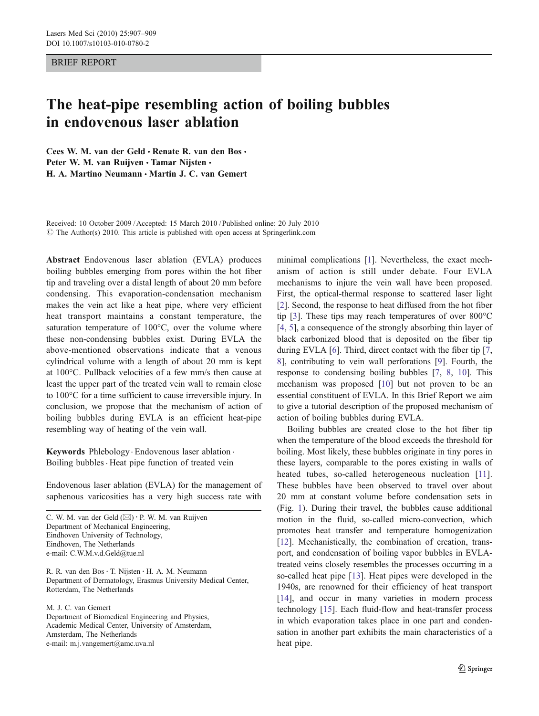## BRIEF REPORT

## The heat-pipe resembling action of boiling bubbles in endovenous laser ablation

Cees W. M. van der Geld  $\cdot$  Renate R. van den Bos  $\cdot$ Peter W. M. van Ruijven · Tamar Nijsten · H. A. Martino Neumann · Martin J. C. van Gemert

Received: 10 October 2009 /Accepted: 15 March 2010 / Published online: 20 July 2010  $\circ$  The Author(s) 2010. This article is published with open access at Springerlink.com

Abstract Endovenous laser ablation (EVLA) produces boiling bubbles emerging from pores within the hot fiber tip and traveling over a distal length of about 20 mm before condensing. This evaporation-condensation mechanism makes the vein act like a heat pipe, where very efficient heat transport maintains a constant temperature, the saturation temperature of 100°C, over the volume where these non-condensing bubbles exist. During EVLA the above-mentioned observations indicate that a venous cylindrical volume with a length of about 20 mm is kept at 100°C. Pullback velocities of a few mm/s then cause at least the upper part of the treated vein wall to remain close to 100°C for a time sufficient to cause irreversible injury. In conclusion, we propose that the mechanism of action of boiling bubbles during EVLA is an efficient heat-pipe resembling way of heating of the vein wall.

Keywords Phlebology. Endovenous laser ablation . Boiling bubbles. Heat pipe function of treated vein

Endovenous laser ablation (EVLA) for the management of saphenous varicosities has a very high success rate with

C. W. M. van der Geld  $(\boxtimes) \cdot$  P. W. M. van Ruijven Department of Mechanical Engineering, Eindhoven University of Technology, Eindhoven, The Netherlands e-mail: C.W.M.v.d.Geld@tue.nl

R. R. van den Bos · T. Nijsten · H. A. M. Neumann Department of Dermatology, Erasmus University Medical Center, Rotterdam, The Netherlands

M. J. C. van Gemert Department of Biomedical Engineering and Physics, Academic Medical Center, University of Amsterdam, Amsterdam, The Netherlands e-mail: m.j.vangemert@amc.uva.nl

minimal complications [[1\]](#page-2-0). Nevertheless, the exact mechanism of action is still under debate. Four EVLA mechanisms to injure the vein wall have been proposed. First, the optical-thermal response to scattered laser light [\[2](#page-2-0)]. Second, the response to heat diffused from the hot fiber tip [[3\]](#page-2-0). These tips may reach temperatures of over 800°C [\[4](#page-2-0), [5\]](#page-2-0), a consequence of the strongly absorbing thin layer of black carbonized blood that is deposited on the fiber tip during EVLA [\[6](#page-2-0)]. Third, direct contact with the fiber tip [[7,](#page-2-0) [8](#page-2-0)], contributing to vein wall perforations [[9\]](#page-2-0). Fourth, the response to condensing boiling bubbles [[7,](#page-2-0) [8](#page-2-0), [10\]](#page-2-0). This mechanism was proposed [\[10](#page-2-0)] but not proven to be an essential constituent of EVLA. In this Brief Report we aim to give a tutorial description of the proposed mechanism of action of boiling bubbles during EVLA.

Boiling bubbles are created close to the hot fiber tip when the temperature of the blood exceeds the threshold for boiling. Most likely, these bubbles originate in tiny pores in these layers, comparable to the pores existing in walls of heated tubes, so-called heterogeneous nucleation [[11](#page-2-0)]. These bubbles have been observed to travel over about 20 mm at constant volume before condensation sets in (Fig. [1](#page-1-0)). During their travel, the bubbles cause additional motion in the fluid, so-called micro-convection, which promotes heat transfer and temperature homogenization [\[12](#page-2-0)]. Mechanistically, the combination of creation, transport, and condensation of boiling vapor bubbles in EVLAtreated veins closely resembles the processes occurring in a so-called heat pipe [[13\]](#page-2-0). Heat pipes were developed in the 1940s, are renowned for their efficiency of heat transport [\[14](#page-2-0)], and occur in many varieties in modern process technology [\[15](#page-2-0)]. Each fluid-flow and heat-transfer process in which evaporation takes place in one part and condensation in another part exhibits the main characteristics of a heat pipe.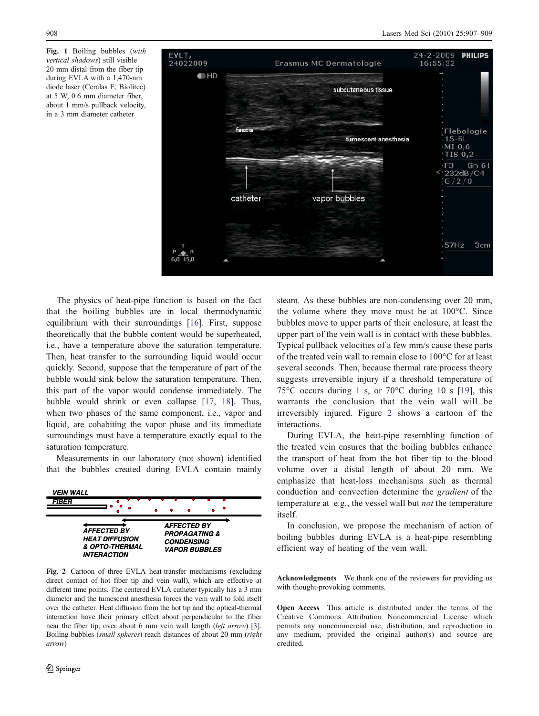<span id="page-1-0"></span>Fig. 1 Boiling bubbles (with vertical shadows) still visible 20 mm distal from the fiber tip during EVLA with a 1,470-nm diode laser (Ceralas E, Biolitec) at 5 W, 0.6 mm diameter fiber, about 1 mm/s pullback velocity, in a 3 mm diameter catheter



The physics of heat-pipe function is based on the fact that the boiling bubbles are in local thermodynamic equilibrium with their surroundings [[16\]](#page-2-0). First, suppose theoretically that the bubble content would be superheated, i.e., have a temperature above the saturation temperature. Then, heat transfer to the surrounding liquid would occur quickly. Second, suppose that the temperature of part of the bubble would sink below the saturation temperature. Then, this part of the vapor would condense immediately. The bubble would shrink or even collapse [\[17](#page-2-0), [18](#page-2-0)]. Thus, when two phases of the same component, i.e., vapor and liquid, are cohabiting the vapor phase and its immediate surroundings must have a temperature exactly equal to the saturation temperature.

Measurements in our laboratory (not shown) identified that the bubbles created during EVLA contain mainly



Fig. 2 Cartoon of three EVLA heat-transfer mechanisms (excluding direct contact of hot fiber tip and vein wall), which are effective at different time points. The centered EVLA catheter typically has a 3 mm diameter and the tumescent anesthesia forces the vein wall to fold itself over the catheter. Heat diffusion from the hot tip and the optical-thermal interaction have their primary effect about perpendicular to the fiber near the fiber tip, over about 6 mm vein wall length (left arrow) [\[3](#page-2-0)]. Boiling bubbles (small spheres) reach distances of about 20 mm (right arrow)

steam. As these bubbles are non-condensing over 20 mm, the volume where they move must be at 100°C. Since bubbles move to upper parts of their enclosure, at least the upper part of the vein wall is in contact with these bubbles. Typical pullback velocities of a few mm/s cause these parts of the treated vein wall to remain close to 100°C for at least several seconds. Then, because thermal rate process theory suggests irreversible injury if a threshold temperature of 75°C occurs during 1 s, or 70°C during 10 s [[19](#page-2-0)], this warrants the conclusion that the vein wall will be irreversibly injured. Figure 2 shows a cartoon of the interactions.

During EVLA, the heat-pipe resembling function of the treated vein ensures that the boiling bubbles enhance the transport of heat from the hot fiber tip to the blood volume over a distal length of about 20 mm. We emphasize that heat-loss mechanisms such as thermal conduction and convection determine the gradient of the temperature at e.g., the vessel wall but not the temperature itself.

In conclusion, we propose the mechanism of action of boiling bubbles during EVLA is a heat-pipe resembling efficient way of heating of the vein wall.

Acknowledgments We thank one of the reviewers for providing us with thought-provoking comments.

Open Access This article is distributed under the terms of the Creative Commons Attribution Noncommercial License which permits any noncommercial use, distribution, and reproduction in any medium, provided the original author(s) and source are credited.